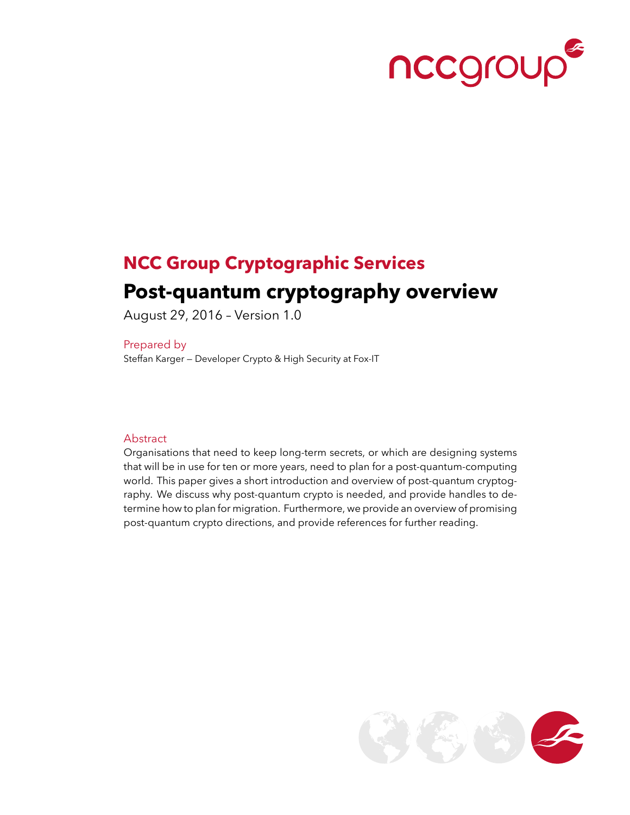

# **NCC Group Cryptographic Services Post-quantum cryptography overview**

August 29, 2016 – Version 1.0

Prepared by Steffan Karger — Developer Crypto & High Security at Fox-IT

#### Abstract

Organisations that need to keep long-term secrets, or which are designing systems that will be in use for ten or more years, need to plan for a post-quantum-computing world. This paper gives a short introduction and overview of post-quantum cryptography. We discuss why post-quantum crypto is needed, and provide handles to determine how to plan for migration. Furthermore, we provide an overview of promising post-quantum crypto directions, and provide references for further reading.

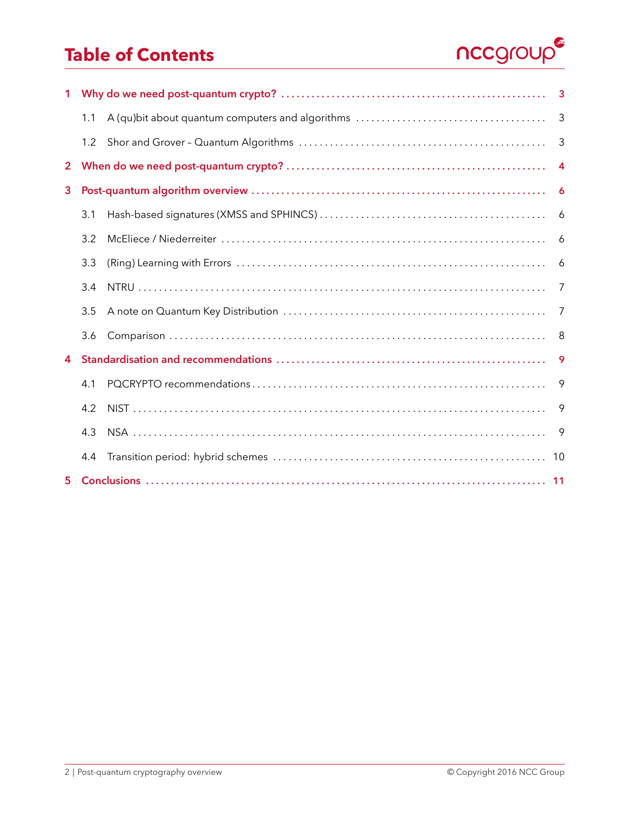# **Table of Contents**



|                | 1.1 |  | 3              |  |
|----------------|-----|--|----------------|--|
|                | 1.2 |  | 3              |  |
| $\mathbf{2}$   |     |  | $\overline{4}$ |  |
| 3              |     |  |                |  |
|                | 3.1 |  | 6              |  |
|                | 3.2 |  | 6              |  |
|                | 3.3 |  | 6              |  |
|                | 3.4 |  | 7              |  |
|                | 3.5 |  | 7              |  |
|                | 3.6 |  | 8              |  |
| 4              |     |  | -9             |  |
|                | 4.1 |  | 9              |  |
|                | 4.2 |  | 9              |  |
|                | 4.3 |  | 9              |  |
|                | 4.4 |  | 10             |  |
| 5 <sub>1</sub> |     |  |                |  |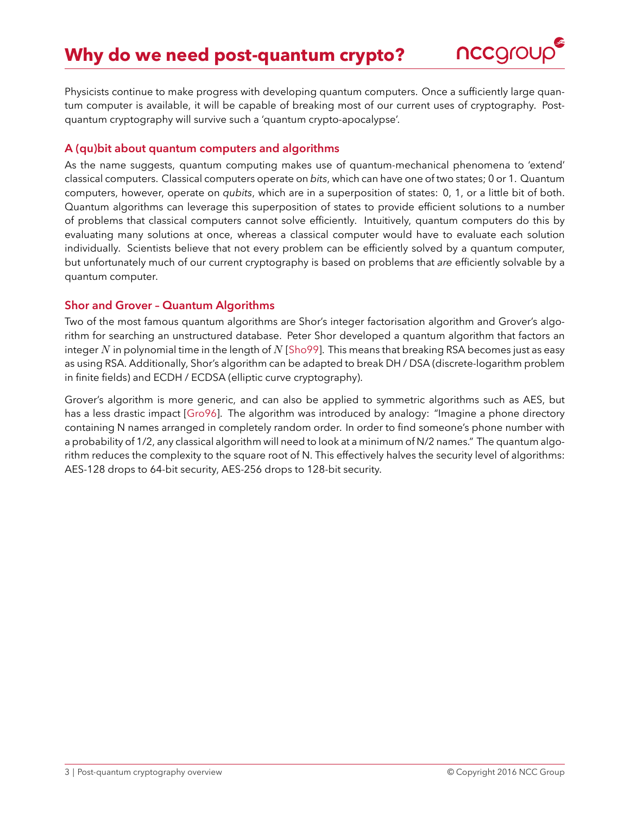

<span id="page-2-3"></span><span id="page-2-0"></span>Physicists continue to make progress with developing quantum computers. Once a sufficiently large quantum computer is available, it will be capable of breaking most of our current uses of cryptography. Postquantum cryptography will survive such a 'quantum crypto-apocalypse'.

#### <span id="page-2-1"></span>**A (qu)bit about quantum computers and algorithms**

As the name suggests, quantum computing makes use of quantum-mechanical phenomena to 'extend' classical computers. Classical computers operate on *bits*, which can have one of two states; 0 or 1. Quantum computers, however, operate on *qubits*, which are in a superposition of states: 0, 1, or a little bit of both. Quantum algorithms can leverage this superposition of states to provide efficient solutions to a number of problems that classical computers cannot solve efficiently. Intuitively, quantum computers do this by evaluating many solutions at once, whereas a classical computer would have to evaluate each solution individually. Scientists believe that not every problem can be efficiently solved by a quantum computer, but unfortunately much of our current cryptography is based on problems that *are* efficiently solvable by a quantum computer.

#### <span id="page-2-2"></span>**Shor and Grover – Quantum Algorithms**

Two of the most famous quantum algorithms are Shor's integer factorisation algorithm and Grover's algorithm for searching an unstructured database. Peter Shor developed a quantum algorithm that factors an integer N in polynomial time in the length of  $N$  [\[Sho99\]](#page-13-0). This means that breaking RSA becomes just as easy as using RSA. Additionally, Shor's algorithm can be adapted to break DH / DSA (discrete-logarithm problem in finite fields) and ECDH / ECDSA (elliptic curve cryptography).

Grover's algorithm is more generic, and can also be applied to symmetric algorithms such as AES, but has a less drastic impact [\[Gro96\]](#page-11-0). The algorithm was introduced by analogy: "Imagine a phone directory containing N names arranged in completely random order. In order to find someone's phone number with a probability of 1/2, any classical algorithm will need to look at a minimum of N/2 names." The quantum algorithm reduces the complexity to the square root of N. This effectively halves the security level of algorithms: AES-128 drops to 64-bit security, AES-256 drops to 128-bit security.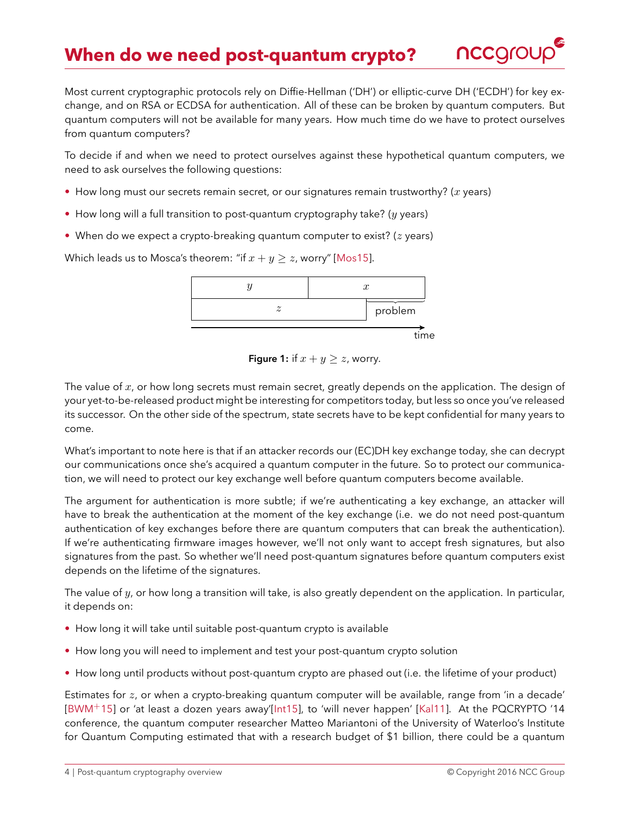

<span id="page-3-1"></span><span id="page-3-0"></span>Most current cryptographic protocols rely on Diffie-Hellman (`DH') or elliptic-curve DH (`ECDH') for key exchange, and on RSA or ECDSA for authentication. All of these can be broken by quantum computers. But quantum computers will not be available for many years. How much time do we have to protect ourselves from quantum computers?

To decide if and when we need to protect ourselves against these hypothetical quantum computers, we need to ask ourselves the following questions:

- How long must our secrets remain secret, or our signatures remain trustworthy?  $(x \text{ years})$
- How long will a full transition to post-quantum cryptography take? ( $y$  years)
- When do we expect a crypto-breaking quantum computer to exist? ( $z$  years)

Which leads us to Mosca's theorem: "if  $x + y \geq z$ , worry" [\[Mos15\]](#page-12-0).

time y and  $x$  $z \rightarrow$  problem

**Figure 1:** if  $x + y \geq z$ , worry.

The value of  $x$ , or how long secrets must remain secret, greatly depends on the application. The design of your yet-to-be-released product might be interesting for competitors today, but less so once you've released its successor. On the other side of the spectrum, state secrets have to be kept confidential for many years to come.

What's important to note here is that if an attacker records our (EC)DH key exchange today, she can decrypt our communications once she's acquired a quantum computer in the future. So to protect our communication, we will need to protect our key exchange well before quantum computers become available.

The argument for authentication is more subtle; if we're authenticating a key exchange, an attacker will have to break the authentication at the moment of the key exchange (i.e. we do not need post-quantum authentication of key exchanges before there are quantum computers that can break the authentication). If we're authenticating firmware images however, we'll not only want to accept fresh signatures, but also signatures from the past. So whether we'll need post-quantum signatures before quantum computers exist depends on the lifetime of the signatures.

The value of  $y$ , or how long a transition will take, is also greatly dependent on the application. In particular, it depends on:

- How long it will take until suitable post-quantum crypto is available
- How long you will need to implement and test your post-quantum crypto solution
- How long until products without post-quantum crypto are phased out (i.e. the lifetime of your product)

Estimates for  $z$ , or when a crypto-breaking quantum computer will be available, range from 'in a decade' [\[BWM](#page-11-1)+15] or `at least a dozen years away'[\[Int15\]](#page-12-1), to `will never happen' [\[Kal11\]](#page-12-2). At the PQCRYPTO '14 conference, the quantum computer researcher Matteo Mariantoni of the University of Waterloo's Institute for Quantum Computing estimated that with a research budget of \$1 billion, there could be a quantum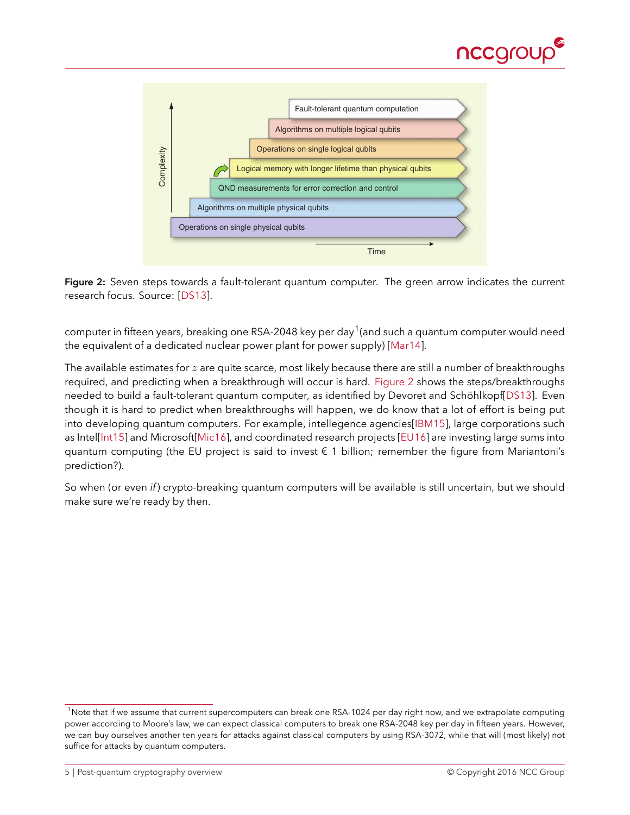

<span id="page-4-2"></span><span id="page-4-1"></span>

e. There are three figures of merit that character-

Figure 2: Seven steps towards a fault-tolerant quantum computer. The green arrow indicates the current research focus. Source: [\[DS13\]](#page-11-2).  $p$ arallel with the others. Superconducting are the only solid-state implementation at the third solid-state implementation at the third solid-state implementation at the third solid-state implementation at the third soli

computer in fifteen years, breaking one RSA-2048 key per day  $^1$ (and such a quantum computer would need the equivalent of a dedicated nuclear power plant for power supply) [\[Mar14\]](#page-12-3).

The available estimates for z are quite scarce, most likely because there are still a number of breakthroughs<br>The available estimates for z are quite scarce, most likely because there are still a number of breakthroughs required, and predicting when a breakthrough will occur is hard. [Figure 2](#page-4-1) shows the steps/breakthroughs needed to build a fault-tolerant quantum computer, as identified by Devoret and Schöhlkopf[\[DS13\]](#page-11-2). Even though it is hard to predict when breakthroughs will happen, we do know that a lot of effort is being put into developing quantum computers. For example, intellegence agencies[\[IBM15\]](#page-12-4), large corporations such as Intel[\[Int15\]](#page-12-1) and Microsoft[\[Mic16\]](#page-12-5), and coordinated research projects [\[EU16\]](#page-11-3) are investing large sums into quantum computing (the EU project is said to invest € 1 billion; remember the figure from Mariantoni's prediction?).

> So when (or even *if*) crypto-breaking quantum computers will be available is still uncertain, but we should make sure we're ready by then.

formance by reducing their sensitivity to de-

<span id="page-4-0"></span><sup>&</sup>lt;sup>1</sup>Note that if we assume that current supercomputers can break one RSA-1024 per day right now, and we extrapolate computing power according to Moore's law, we can expect classical computers to break one RSA-2048 key per day in fifteen years. However, we can buy ourselves another ten years for attacks against classical computers by using RSA-3072, while that will (most likely) not suffice for attacks by quantum computers.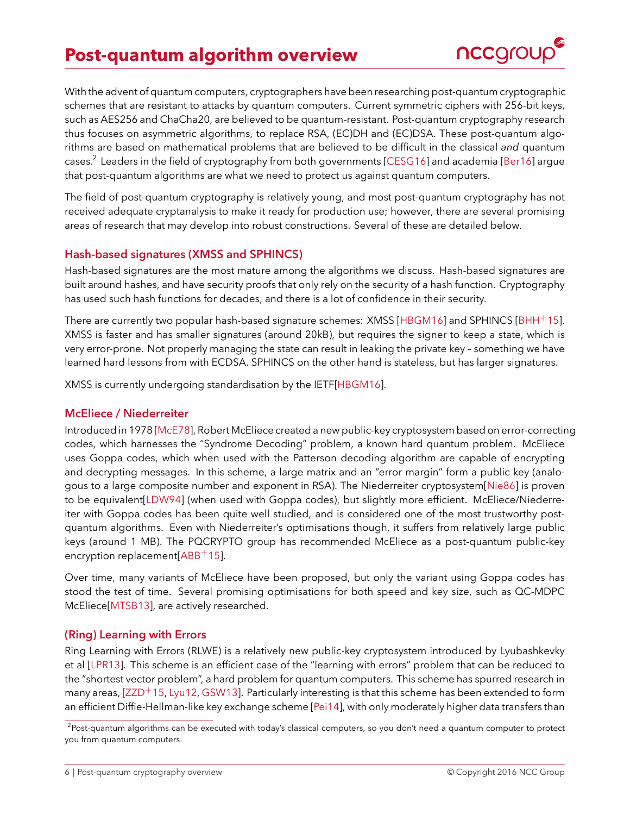# <span id="page-5-5"></span>**Post-quantum algorithm overview**



<span id="page-5-0"></span>With the advent of quantum computers, cryptographers have been researching post-quantum cryptographic schemes that are resistant to attacks by quantum computers. Current symmetric ciphers with 256-bit keys, such as AES256 and ChaCha20, are believed to be quantum-resistant. Post-quantum cryptography research thus focuses on asymmetric algorithms, to replace RSA, (EC)DH and (EC)DSA. These post-quantum algorithms are based on mathematical problems that are believed to be difficult in the classical *and* quantum cases.<sup>[2](#page-5-4)</sup> Leaders in the field of cryptography from both governments [\[CESG16\]](#page-11-4) and academia [\[Ber16\]](#page-11-5) argue that post-quantum algorithms are what we need to protect us against quantum computers.

The field of post-quantum cryptography is relatively young, and most post-quantum cryptography has not received adequate cryptanalysis to make it ready for production use; however, there are several promising areas of research that may develop into robust constructions. Several of these are detailed below.

## <span id="page-5-1"></span>**Hash-based signatures (XMSS and SPHINCS)**

Hash-based signatures are the most mature among the algorithms we discuss. Hash-based signatures are built around hashes, and have security proofs that only rely on the security of a hash function. Cryptography has used such hash functions for decades, and there is a lot of confidence in their security.

There are currently two popular hash-based signature schemes: XMSS [\[HBGM16\]](#page-11-6) and SPHINCS [\[BHH](#page-11-7)+15]. XMSS is faster and has smaller signatures (around 20kB), but requires the signer to keep a state, which is very error-prone. Not properly managing the state can result in leaking the private key – something we have learned hard lessons from with ECDSA. SPHINCS on the other hand is stateless, but has larger signatures.

XMSS is currently undergoing standardisation by the IETF[\[HBGM16\]](#page-11-6).

#### <span id="page-5-2"></span>**McEliece / Niederreiter**

Introduced in 1978 [\[McE78\]](#page-12-6), Robert McEliece created a new public-key cryptosystem based on error-correcting codes, which harnesses the "Syndrome Decoding" problem, a known hard quantum problem. McEliece uses Goppa codes, which when used with the Patterson decoding algorithm are capable of encrypting and decrypting messages. In this scheme, a large matrix and an "error margin" form a public key (analogous to a large composite number and exponent in RSA). The Niederreiter cryptosystem[\[Nie86\]](#page-12-7) is proven to be equivalent[\[LDW94\]](#page-12-8) (when used with Goppa codes), but slightly more efficient. McEliece/Niederreiter with Goppa codes has been quite well studied, and is considered one of the most trustworthy postquantum algorithms. Even with Niederreiter's optimisations though, it suffers from relatively large public keys (around 1 MB). The PQCRYPTO group has recommended McEliece as a post-quantum public-key encryption replacement $[ABB<sup>+</sup>15]$  $[ABB<sup>+</sup>15]$ .

Over time, many variants of McEliece have been proposed, but only the variant using Goppa codes has stood the test of time. Several promising optimisations for both speed and key size, such as QC-MDPC McEliece[\[MTSB13\]](#page-12-9), are actively researched.

#### <span id="page-5-3"></span>**(Ring) Learning with Errors**

Ring Learning with Errors (RLWE) is a relatively new public-key cryptosystem introduced by Lyubashkevky et al [\[LPR13\]](#page-12-10). This scheme is an efficient case of the "learning with errors" problem that can be reduced to the "shortest vector problem", a hard problem for quantum computers. This scheme has spurred research in many areas,  $[ZZD+15, Lyu12, GSW13]$  $[ZZD+15, Lyu12, GSW13]$  $[ZZD+15, Lyu12, GSW13]$  $[ZZD+15, Lyu12, GSW13]$ . Particularly interesting is that this scheme has been extended to form an efficient Diffie-Hellman-like key exchange scheme [\[Pei14\]](#page-13-2), with only moderately higher data transfers than

<span id="page-5-4"></span><sup>&</sup>lt;sup>2</sup>Post-quantum algorithms can be executed with today's classical computers, so you don't need a quantum computer to protect you from quantum computers.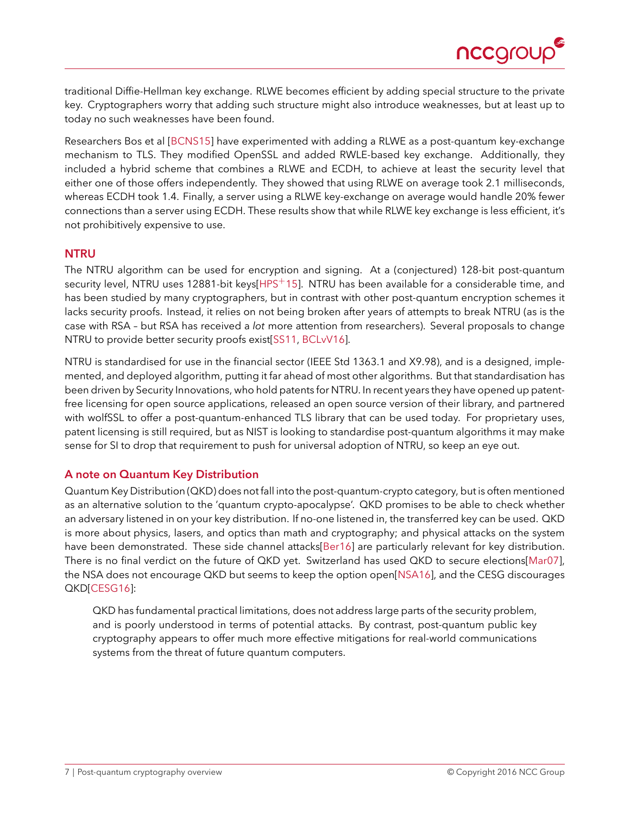

<span id="page-6-2"></span>traditional Diffie-Hellman key exchange. RLWE becomes efficient by adding special structure to the private key. Cryptographers worry that adding such structure might also introduce weaknesses, but at least up to today no such weaknesses have been found.

Researchers Bos et al [\[BCNS15\]](#page-11-10) have experimented with adding a RLWE as a post-quantum key-exchange mechanism to TLS. They modified OpenSSL and added RWLE-based key exchange. Additionally, they included a hybrid scheme that combines a RLWE and ECDH, to achieve at least the security level that either one of those offers independently. They showed that using RLWE on average took 2.1 milliseconds, whereas ECDH took 1.4. Finally, a server using a RLWE key-exchange on average would handle 20% fewer connections than a server using ECDH. These results show that while RLWE key exchange is less efficient, it's not prohibitively expensive to use.

#### <span id="page-6-0"></span>**NTRU**

The NTRU algorithm can be used for encryption and signing. At a (conjectured) 128-bit post-quantum security level, NTRU uses 12881-bit keys $[HPS<sup>+</sup>15]$  $[HPS<sup>+</sup>15]$ . NTRU has been available for a considerable time, and has been studied by many cryptographers, but in contrast with other post-quantum encryption schemes it lacks security proofs. Instead, it relies on not being broken after years of attempts to break NTRU (as is the case with RSA – but RSA has received a *lot* more attention from researchers). Several proposals to change NTRU to provide better security proofs exist[\[SS11,](#page-13-3) [BCLvV16\]](#page-11-11).

NTRU is standardised for use in the financial sector (IEEE Std 1363.1 and X9.98), and is a designed, implemented, and deployed algorithm, putting it far ahead of most other algorithms. But that standardisation has been driven by Security Innovations, who hold patents for NTRU. In recent years they have opened up patentfree licensing for open source applications, released an open source version of their library, and partnered with wolfSSL to offer a post-quantum-enhanced TLS library that can be used today. For proprietary uses, patent licensing is still required, but as NIST is looking to standardise post-quantum algorithms it may make sense for SI to drop that requirement to push for universal adoption of NTRU, so keep an eye out.

#### <span id="page-6-1"></span>**A note on Quantum Key Distribution**

Quantum Key Distribution (QKD) does not fall into the post-quantum-crypto category, but is often mentioned as an alternative solution to the 'quantum crypto-apocalypse'. QKD promises to be able to check whether an adversary listened in on your key distribution. If no-one listened in, the transferred key can be used. QKD is more about physics, lasers, and optics than math and cryptography; and physical attacks on the system have been demonstrated. These side channel attacks[\[Ber16\]](#page-11-5) are particularly relevant for key distribution. There is no final verdict on the future of QKD yet. Switzerland has used QKD to secure elections[\[Mar07\]](#page-12-13), the NSA does not encourage QKD but seems to keep the option open[\[NSA16\]](#page-12-14), and the CESG discourages QKD[\[CESG16\]](#page-11-4):

QKD has fundamental practical limitations, does not address large parts of the security problem, and is poorly understood in terms of potential attacks. By contrast, post-quantum public key cryptography appears to offer much more effective mitigations for real-world communications systems from the threat of future quantum computers.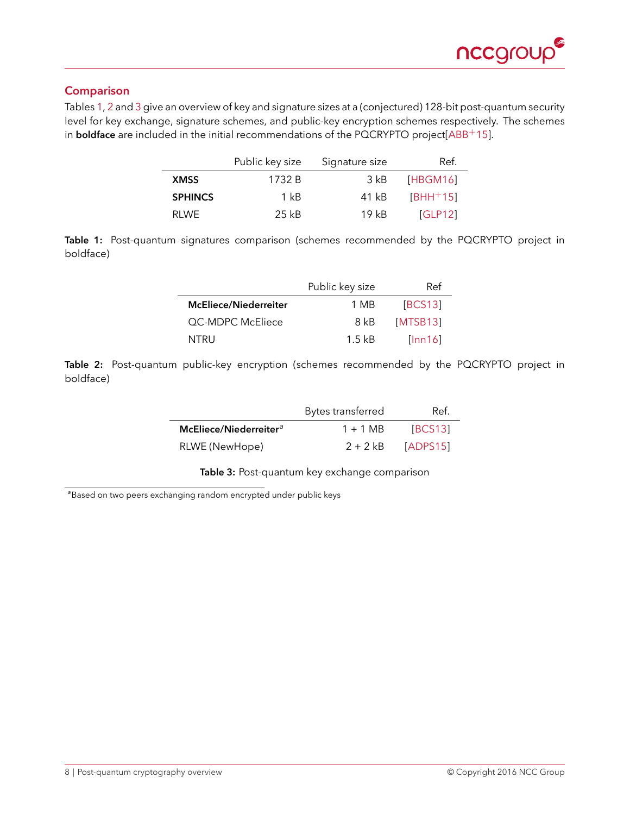

## <span id="page-7-5"></span><span id="page-7-0"></span>**Comparison**

<span id="page-7-1"></span>Tables [1,](#page-7-1) [2](#page-7-2) and [3](#page-7-3) give an overview of key and signature sizes at a (conjectured) 128-bit post-quantum security level for key exchange, signature schemes, and public-key encryption schemes respectively. The schemes in **boldface** are included in the initial recommendations of the PQCRYPTO project[\[ABB](#page-11-8)<sup>+</sup>15].

|                | Public key size | Signature size | Ref.       |
|----------------|-----------------|----------------|------------|
| <b>XMSS</b>    | 1732 B          | 3 kB           | [HBGM16]   |
| <b>SPHINCS</b> | $1 \text{ kB}$  | 41 kB          | $[BHH+15]$ |
| RI WF          | 25 kB           | 19kR           | [GLP12]    |

<span id="page-7-2"></span>Table 1: Post-quantum signatures comparison (schemes recommended by the PQCRYPTO project in boldface)

|                              | Public key size  | Ref      |
|------------------------------|------------------|----------|
| <b>McEliece/Niederreiter</b> | 1 MB             | [BCS13]  |
| <b>QC-MDPC McEliece</b>      | 8 kB             | [MTSB13] |
| NTRU                         | $1.5 \text{ kB}$ | [lnn16]  |

<span id="page-7-3"></span>**Table 2:** Post-quantum public-key encryption (schemes recommended by the PQCRYPTO project in boldface)

|                                    | Bytes transferred | Ref.     |
|------------------------------------|-------------------|----------|
| McEliece/Niederreiter <sup>a</sup> | $1 + 1$ MB        | [BCS13]  |
| RLWE (NewHope)                     | $2 + 2 kB$        | [ADPS15] |

**Table 3:** Post-quantum key exchange comparison

<span id="page-7-4"></span>*<sup>a</sup>*Based on two peers exchanging random encrypted under public keys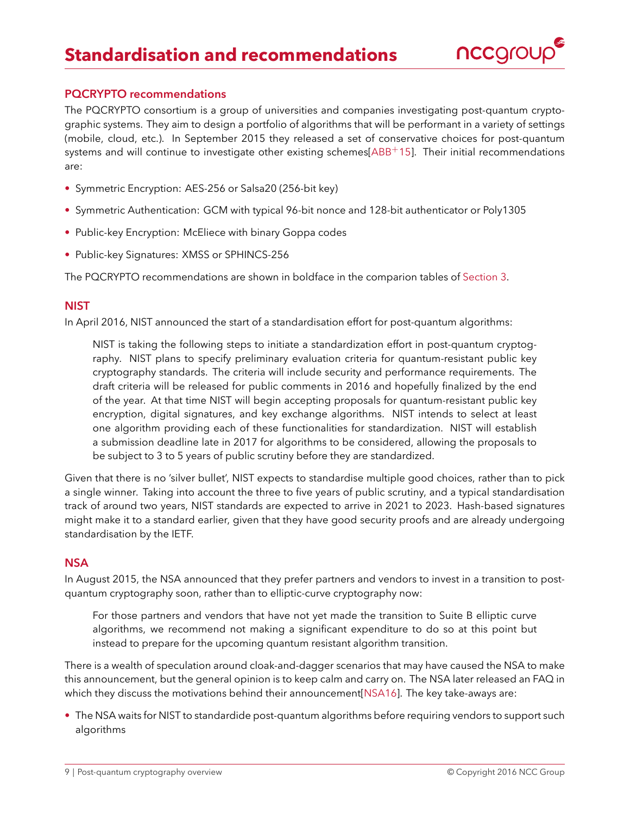

#### <span id="page-8-4"></span><span id="page-8-1"></span><span id="page-8-0"></span>**PQCRYPTO recommendations**

The PQCRYPTO consortium is a group of universities and companies investigating post-quantum cryptographic systems. They aim to design a portfolio of algorithms that will be performant in a variety of settings (mobile, cloud, etc.). In September 2015 they released a set of conservative choices for post-quantum systems and will continue to investigate other existing schemes[\[ABB](#page-11-8)<sup>+</sup>15]. Their initial recommendations are:

- Symmetric Encryption: AES-256 or Salsa20 (256-bit key)
- Symmetric Authentication: GCM with typical 96-bit nonce and 128-bit authenticator or Poly1305
- Public-key Encryption: McEliece with binary Goppa codes
- Public-key Signatures: XMSS or SPHINCS-256

The PQCRYPTO recommendations are shown in boldface in the comparion tables of [Section 3.](#page-5-0)

## <span id="page-8-2"></span>**NIST**

In April 2016, NIST announced the start of a standardisation effort for post-quantum algorithms:

NIST is taking the following steps to initiate a standardization effort in post-quantum cryptography. NIST plans to specify preliminary evaluation criteria for quantum-resistant public key cryptography standards. The criteria will include security and performance requirements. The draft criteria will be released for public comments in 2016 and hopefully finalized by the end of the year. At that time NIST will begin accepting proposals for quantum-resistant public key encryption, digital signatures, and key exchange algorithms. NIST intends to select at least one algorithm providing each of these functionalities for standardization. NIST will establish a submission deadline late in 2017 for algorithms to be considered, allowing the proposals to be subject to 3 to 5 years of public scrutiny before they are standardized.

Given that there is no 'silver bullet', NIST expects to standardise multiple good choices, rather than to pick a single winner. Taking into account the three to five years of public scrutiny, and a typical standardisation track of around two years, NIST standards are expected to arrive in 2021 to 2023. Hash-based signatures might make it to a standard earlier, given that they have good security proofs and are already undergoing standardisation by the IETF.

#### <span id="page-8-3"></span>**NSA**

In August 2015, the NSA announced that they prefer partners and vendors to invest in a transition to postquantum cryptography soon, rather than to elliptic-curve cryptography now:

For those partners and vendors that have not yet made the transition to Suite B elliptic curve algorithms, we recommend not making a significant expenditure to do so at this point but instead to prepare for the upcoming quantum resistant algorithm transition.

There is a wealth of speculation around cloak-and-dagger scenarios that may have caused the NSA to make this announcement, but the general opinion is to keep calm and carry on. The NSA later released an FAQ in which they discuss the motivations behind their announcement[\[NSA16\]](#page-12-14). The key take-aways are:

• The NSA waits for NIST to standardide post-quantum algorithms before requiring vendors to support such algorithms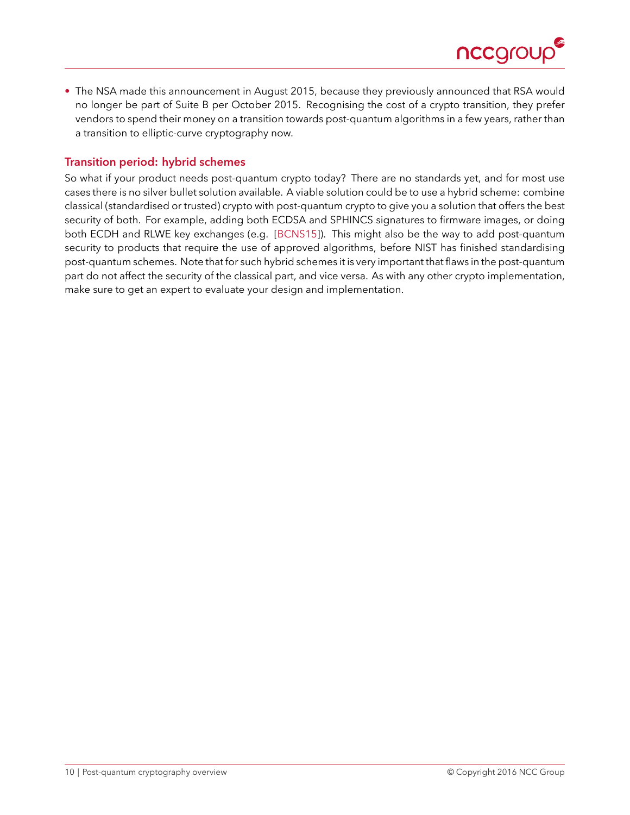

<span id="page-9-1"></span>• The NSA made this announcement in August 2015, because they previously announced that RSA would no longer be part of Suite B per October 2015. Recognising the cost of a crypto transition, they prefer vendors to spend their money on a transition towards post-quantum algorithms in a few years, rather than a transition to elliptic-curve cryptography now.

## <span id="page-9-0"></span>**Transition period: hybrid schemes**

So what if your product needs post-quantum crypto today? There are no standards yet, and for most use cases there is no silver bullet solution available. A viable solution could be to use a hybrid scheme: combine classical (standardised or trusted) crypto with post-quantum crypto to give you a solution that offers the best security of both. For example, adding both ECDSA and SPHINCS signatures to firmware images, or doing both ECDH and RLWE key exchanges (e.g. [\[BCNS15\]](#page-11-10)). This might also be the way to add post-quantum security to products that require the use of approved algorithms, before NIST has finished standardising post-quantum schemes. Note that for such hybrid schemes it is very important that flaws in the post-quantum part do not affect the security of the classical part, and vice versa. As with any other crypto implementation, make sure to get an expert to evaluate your design and implementation.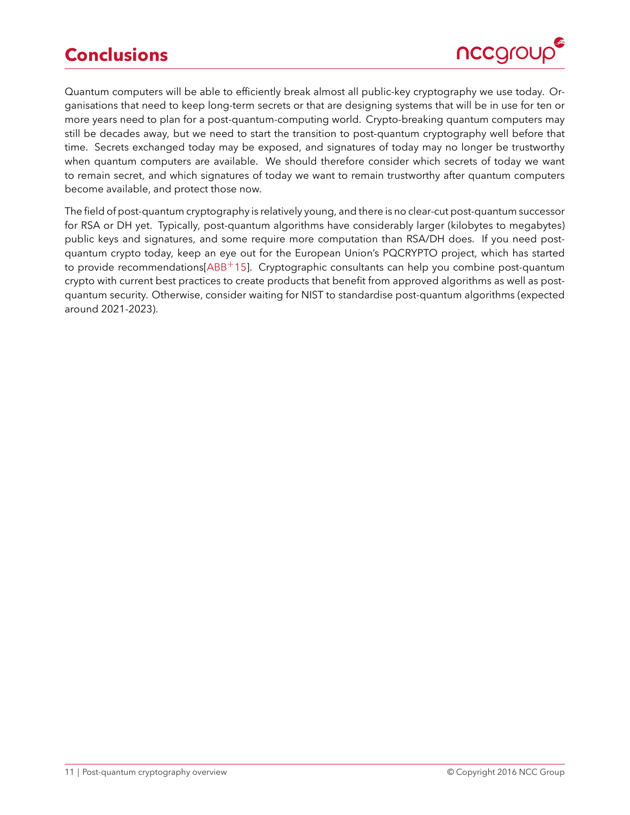# <span id="page-10-1"></span>**Conclusions**



<span id="page-10-0"></span>Quantum computers will be able to efficiently break almost all public-key cryptography we use today. Organisations that need to keep long-term secrets or that are designing systems that will be in use for ten or more years need to plan for a post-quantum-computing world. Crypto-breaking quantum computers may still be decades away, but we need to start the transition to post-quantum cryptography well before that time. Secrets exchanged today may be exposed, and signatures of today may no longer be trustworthy when quantum computers are available. We should therefore consider which secrets of today we want to remain secret, and which signatures of today we want to remain trustworthy after quantum computers become available, and protect those now.

The field of post-quantum cryptography is relatively young, and there is no clear-cut post-quantum successor for RSA or DH yet. Typically, post-quantum algorithms have considerably larger (kilobytes to megabytes) public keys and signatures, and some require more computation than RSA/DH does. If you need postquantum crypto today, keep an eye out for the European Union's PQCRYPTO project, which has started to provide recommendations[\[ABB](#page-11-8)<sup>+</sup>15]. Cryptographic consultants can help you combine post-quantum crypto with current best practices to create products that benefit from approved algorithms as well as postquantum security. Otherwise, consider waiting for NIST to standardise post-quantum algorithms (expected around 2021-2023).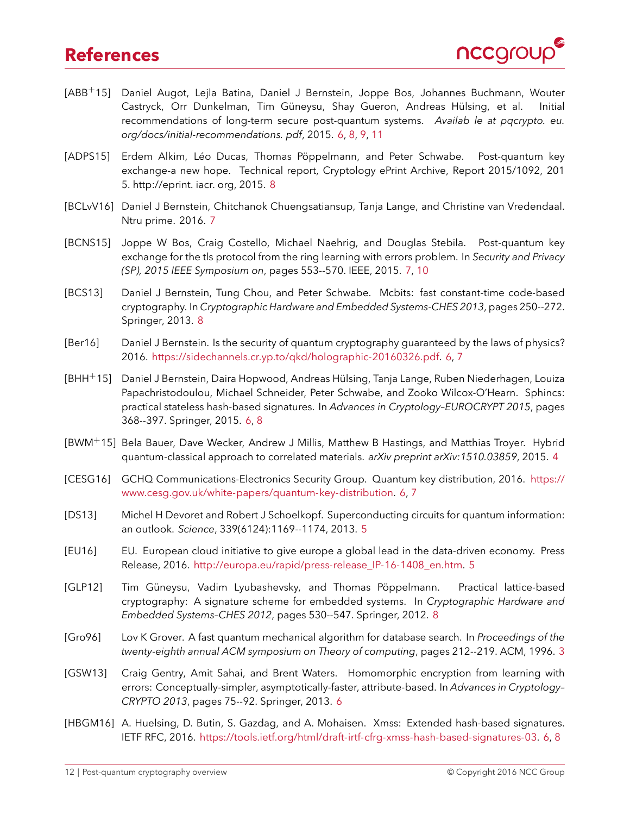## **References**



- <span id="page-11-8"></span>[ABB+15] Daniel Augot, Lejla Batina, Daniel J Bernstein, Joppe Bos, Johannes Buchmann, Wouter Castryck, Orr Dunkelman, Tim Güneysu, Shay Gueron, Andreas Hülsing, et al. Initial recommendations of long-term secure post-quantum systems. *Availab le at pqcrypto. eu. org/docs/initial-recommendations. pdf*, 2015. [6,](#page-5-5) [8,](#page-7-5) [9,](#page-8-4) [11](#page-10-1)
- <span id="page-11-14"></span>[ADPS15] Erdem Alkim, Léo Ducas, Thomas Pöppelmann, and Peter Schwabe. Post-quantum key exchange-a new hope. Technical report, Cryptology ePrint Archive, Report 2015/1092, 201 5. http://eprint. iacr. org, 2015. [8](#page-7-5)
- <span id="page-11-11"></span>[BCLvV16] Daniel J Bernstein, Chitchanok Chuengsatiansup, Tanja Lange, and Christine van Vredendaal. Ntru prime. 2016. [7](#page-6-2)
- <span id="page-11-10"></span>[BCNS15] Joppe W Bos, Craig Costello, Michael Naehrig, and Douglas Stebila. Post-quantum key exchange for the tls protocol from the ring learning with errors problem. In *Security and Privacy (SP), 2015 IEEE Symposium on*, pages 553--570. IEEE, 2015. [7,](#page-6-2) [10](#page-9-1)
- <span id="page-11-13"></span>[BCS13] Daniel J Bernstein, Tung Chou, and Peter Schwabe. Mcbits: fast constant-time code-based cryptography. In *Cryptographic Hardware and Embedded Systems-CHES 2013*, pages 250--272. Springer, 2013. [8](#page-7-5)
- <span id="page-11-5"></span>[Ber16] Daniel J Bernstein. Is the security of quantum cryptography guaranteed by the laws of physics? 2016. [https://sidechannels.cr.yp.to/qkd/holographic-20160326.pdf.](https://sidechannels.cr.yp.to/qkd/holographic-20160326.pdf) [6,](#page-5-5) [7](#page-6-2)
- <span id="page-11-7"></span>[BHH+15] Daniel J Bernstein, Daira Hopwood, Andreas Hülsing, Tanja Lange, Ruben Niederhagen, Louiza Papachristodoulou, Michael Schneider, Peter Schwabe, and Zooko Wilcox-O'Hearn. Sphincs: practical stateless hash-based signatures. In *Advances in Cryptology–EUROCRYPT 2015*, pages 368--397. Springer, 2015. [6,](#page-5-5) [8](#page-7-5)
- <span id="page-11-1"></span>[BWM+15] Bela Bauer, Dave Wecker, Andrew J Millis, Matthew B Hastings, and Matthias Troyer. Hybrid quantum-classical approach to correlated materials. *arXiv preprint arXiv:1510.03859*, 2015. [4](#page-3-1)
- <span id="page-11-4"></span>[CESG16] GCHQ Communications-Electronics Security Group. Quantum key distribution, 2016. [https://](https://www.cesg.gov.uk/white-papers/quantum-key-distribution) [www.cesg.gov.uk/white-papers/quantum-key-distribution.](https://www.cesg.gov.uk/white-papers/quantum-key-distribution) [6,](#page-5-5) [7](#page-6-2)
- <span id="page-11-2"></span>[DS13] Michel H Devoret and Robert J Schoelkopf. Superconducting circuits for quantum information: an outlook. *Science*, 339(6124):1169--1174, 2013. [5](#page-4-2)
- <span id="page-11-3"></span>[EU16] EU. European cloud initiative to give europe a global lead in the data-driven economy. Press Release, 2016. [http://europa.eu/rapid/press-release\\_IP-16-1408\\_en.htm.](http://europa.eu/rapid/press-release_IP-16-1408_en.htm) [5](#page-4-2)
- <span id="page-11-12"></span>[GLP12] Tim Güneysu, Vadim Lyubashevsky, and Thomas Pöppelmann. Practical lattice-based cryptography: A signature scheme for embedded systems. In *Cryptographic Hardware and Embedded Systems–CHES 2012*, pages 530--547. Springer, 2012. [8](#page-7-5)
- <span id="page-11-0"></span>[Gro96] Lov K Grover. A fast quantum mechanical algorithm for database search. In *Proceedings of the twenty-eighth annual ACM symposium on Theory of computing*, pages 212--219. ACM, 1996. [3](#page-2-3)
- <span id="page-11-9"></span>[GSW13] Craig Gentry, Amit Sahai, and Brent Waters. Homomorphic encryption from learning with errors: Conceptually-simpler, asymptotically-faster, attribute-based. In *Advances in Cryptology– CRYPTO 2013*, pages 75--92. Springer, 2013. [6](#page-5-5)
- <span id="page-11-6"></span>[HBGM16] A. Huelsing, D. Butin, S. Gazdag, and A. Mohaisen. Xmss: Extended hash-based signatures. IETF RFC, 2016. [https://tools.ietf.org/html/draft-irtf-cfrg-xmss-hash-based-signatures-03.](https://tools.ietf.org/html/draft-irtf-cfrg-xmss-hash-based-signatures-03) [6,](#page-5-5) [8](#page-7-5)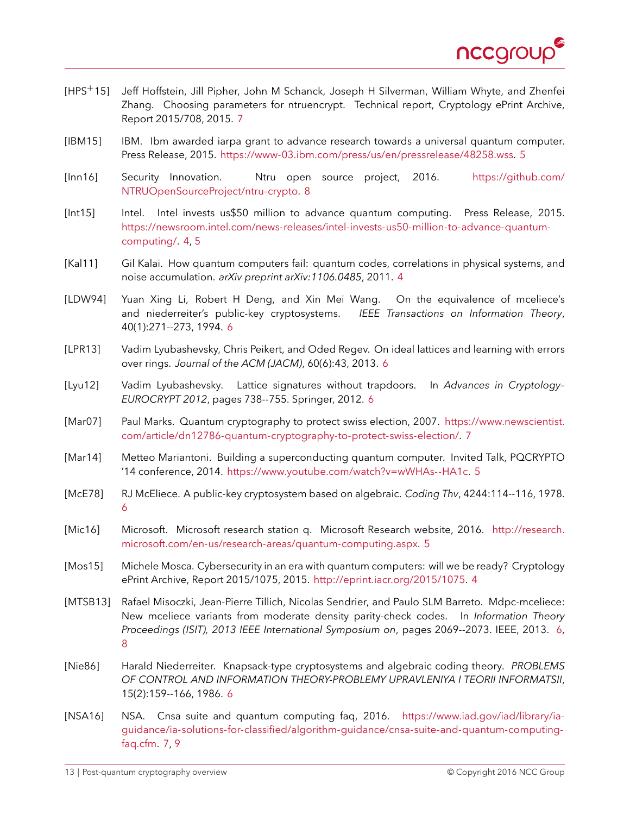

- <span id="page-12-12"></span>[HPS+15] Jeff Hoffstein, Jill Pipher, John M Schanck, Joseph H Silverman, William Whyte, and Zhenfei Zhang. Choosing parameters for ntruencrypt. Technical report, Cryptology ePrint Archive, Report 2015/708, 2015. [7](#page-6-2)
- <span id="page-12-4"></span>[IBM15] IBM. Ibm awarded iarpa grant to advance research towards a universal quantum computer. Press Release, 2015. [https://www-03.ibm.com/press/us/en/pressrelease/48258.wss.](https://www-03.ibm.com/press/us/en/pressrelease/48258.wss) [5](#page-4-2)
- <span id="page-12-15"></span>[Inn16] Security Innovation. Ntru open source project, 2016. [https://github.com/](https://github.com/NTRUOpenSourceProject/ntru-crypto) [NTRUOpenSourceProject/ntru-crypto.](https://github.com/NTRUOpenSourceProject/ntru-crypto) [8](#page-7-5)
- <span id="page-12-1"></span>[Int15] Intel. Intel invests us\$50 million to advance quantum computing. Press Release, 2015. [https://newsroom.intel.com/news-releases/intel-invests-us50-million-to-advance-quantum](https://newsroom.intel.com/news-releases/intel-invests-us50-million-to-advance-quantum-computing/)[computing/.](https://newsroom.intel.com/news-releases/intel-invests-us50-million-to-advance-quantum-computing/) [4,](#page-3-1) [5](#page-4-2)
- <span id="page-12-2"></span>[Kal11] Gil Kalai. How quantum computers fail: quantum codes, correlations in physical systems, and noise accumulation. *arXiv preprint arXiv:1106.0485*, 2011. [4](#page-3-1)
- <span id="page-12-8"></span>[LDW94] Yuan Xing Li, Robert H Deng, and Xin Mei Wang. On the equivalence of mceliece's and niederreiter's public-key cryptosystems. *IEEE Transactions on Information Theory*, 40(1):271--273, 1994. [6](#page-5-5)
- <span id="page-12-10"></span>[LPR13] Vadim Lyubashevsky, Chris Peikert, and Oded Regev. On ideal lattices and learning with errors over rings. *Journal of the ACM (JACM)*, 60(6):43, 2013. [6](#page-5-5)
- <span id="page-12-11"></span>[Lyu12] Vadim Lyubashevsky. Lattice signatures without trapdoors. In *Advances in Cryptology– EUROCRYPT 2012*, pages 738--755. Springer, 2012. [6](#page-5-5)
- <span id="page-12-13"></span>[Mar07] Paul Marks. Quantum cryptography to protect swiss election, 2007. [https://www.newscientist.](https://www.newscientist.com/article/dn12786-quantum-cryptography-to-protect-swiss-election/) [com/article/dn12786-quantum-cryptography-to-protect-swiss-election/.](https://www.newscientist.com/article/dn12786-quantum-cryptography-to-protect-swiss-election/) [7](#page-6-2)
- <span id="page-12-3"></span>[Mar14] Metteo Mariantoni. Building a superconducting quantum computer. Invited Talk, PQCRYPTO '14 conference, 2014. [https://www.youtube.com/watch?v=wWHAs--HA1c.](https://www.youtube.com/watch?v=wWHAs--HA1c) [5](#page-4-2)
- <span id="page-12-6"></span>[McE78] RJ McEliece. A public-key cryptosystem based on algebraic. *Coding Thv*, 4244:114--116, 1978. [6](#page-5-5)
- <span id="page-12-5"></span>[Mic16] Microsoft. Microsoft research station q. Microsoft Research website, 2016. [http://research.](http://research.microsoft.com/en-us/research-areas/quantum-computing.aspx) [microsoft.com/en-us/research-areas/quantum-computing.aspx.](http://research.microsoft.com/en-us/research-areas/quantum-computing.aspx) [5](#page-4-2)
- <span id="page-12-0"></span>[Mos15] Michele Mosca. Cybersecurity in an era with quantum computers: will we be ready? Cryptology ePrint Archive, Report 2015/1075, 2015. [http://eprint.iacr.org/2015/1075.](http://eprint.iacr.org/2015/1075) [4](#page-3-1)
- <span id="page-12-9"></span>[MTSB13] Rafael Misoczki, Jean-Pierre Tillich, Nicolas Sendrier, and Paulo SLM Barreto. Mdpc-mceliece: New mceliece variants from moderate density parity-check codes. In *Information Theory Proceedings (ISIT), 2013 IEEE International Symposium on*, pages 2069--2073. IEEE, 2013. [6,](#page-5-5) [8](#page-7-5)
- <span id="page-12-7"></span>[Nie86] Harald Niederreiter. Knapsack-type cryptosystems and algebraic coding theory. *PROBLEMS OF CONTROL AND INFORMATION THEORY-PROBLEMY UPRAVLENIYA I TEORII INFORMATSII*, 15(2):159--166, 1986. [6](#page-5-5)
- <span id="page-12-14"></span>[NSA16] NSA. Cnsa suite and quantum computing faq, 2016. [https://www.iad.gov/iad/library/ia](https://www.iad.gov/iad/library/ia-guidance/ia-solutions-for-classified/algorithm-guidance/cnsa-suite-and-quantum-computing-faq.cfm)[guidance/ia-solutions-for-classified/algorithm-guidance/cnsa-suite-and-quantum-computing](https://www.iad.gov/iad/library/ia-guidance/ia-solutions-for-classified/algorithm-guidance/cnsa-suite-and-quantum-computing-faq.cfm)[faq.cfm.](https://www.iad.gov/iad/library/ia-guidance/ia-solutions-for-classified/algorithm-guidance/cnsa-suite-and-quantum-computing-faq.cfm) [7,](#page-6-2) [9](#page-8-4)

13 | Post-quantum cryptography overview © Copyright 2016 NCC Group